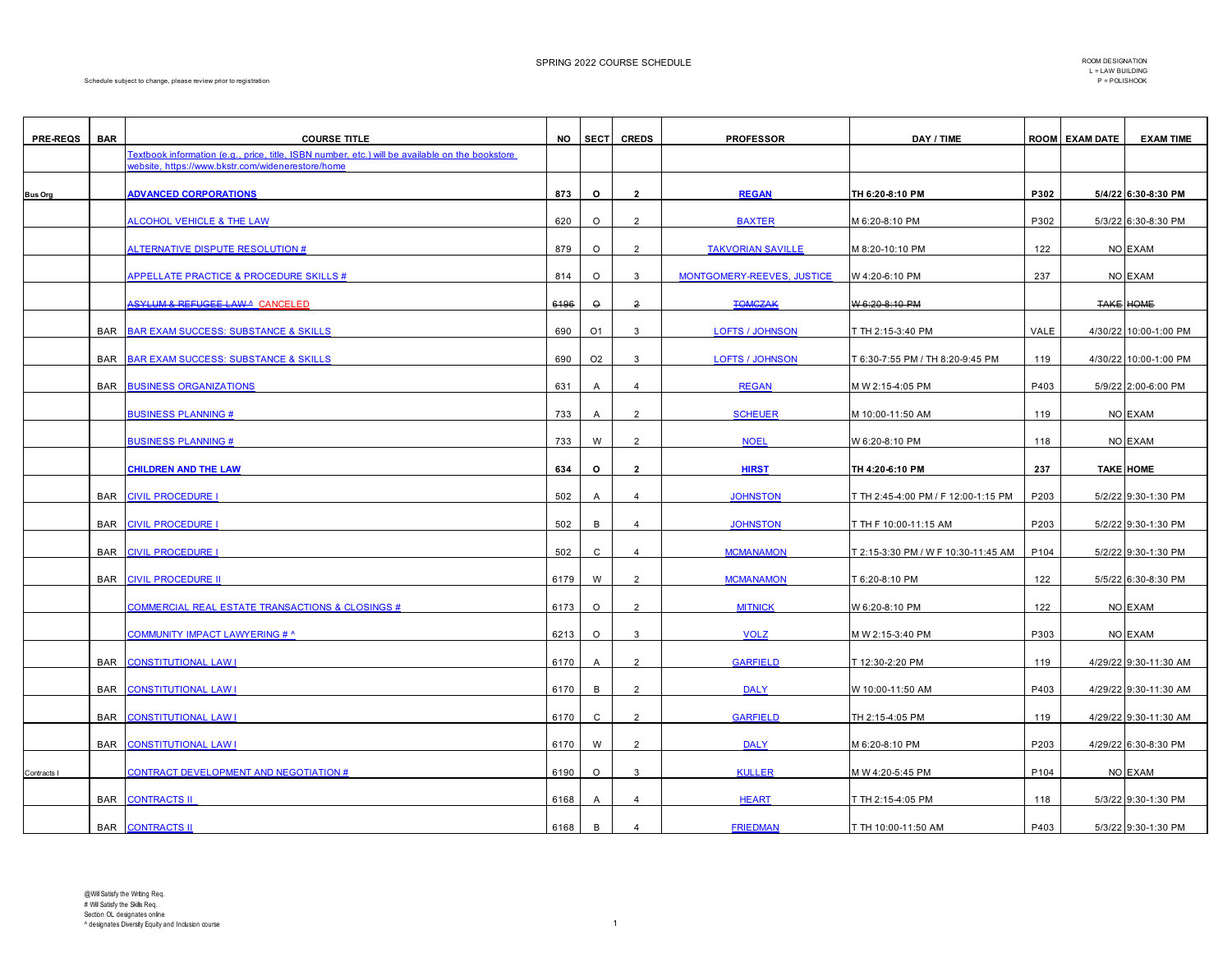| <b>PRE-REQS</b> | <b>BAR</b> | <b>COURSE TITLE</b>                                                                                                                                  |      | NO SECT               | <b>CREDS</b>            | <b>PROFESSOR</b>           | DAY / TIME                          |             | <b>ROOM EXAM DATE</b> | <b>EXAM TIME</b>      |
|-----------------|------------|------------------------------------------------------------------------------------------------------------------------------------------------------|------|-----------------------|-------------------------|----------------------------|-------------------------------------|-------------|-----------------------|-----------------------|
|                 |            | Textbook information (e.g., price, title, ISBN number, etc.) will be available on the bookstore<br>vebsite, https://www.bkstr.com/widenerestore/home |      |                       |                         |                            |                                     |             |                       |                       |
| <b>Bus Org</b>  |            | <b>ADVANCED CORPORATIONS</b>                                                                                                                         | 873  | $\circ$               | $\overline{2}$          | <b>REGAN</b>               | TH 6:20-8:10 PM                     | P302        |                       | 5/4/22 6:30-8:30 PM   |
|                 |            | ALCOHOL VEHICLE & THE LAW                                                                                                                            | 620  | $\circ$               | $\overline{2}$          | <b>BAXTER</b>              | M 6:20-8:10 PM                      | P302        |                       | 5/3/22 6:30-8:30 PM   |
|                 |            | <b>ALTERNATIVE DISPUTE RESOLUTION #</b>                                                                                                              | 879  | $\circ$               | 2                       | <b>TAKVORIAN SAVILLE</b>   | M 8:20-10:10 PM                     | 122         |                       | NO EXAM               |
|                 |            | APPELLATE PRACTICE & PROCEDURE SKILLS #                                                                                                              | 814  | $\circ$               | $\mathbf{3}$            | MONTGOMERY-REEVES, JUSTICE | W 4:20-6:10 PM                      | 237         |                       | NO EXAM               |
|                 |            | <b>ASYLUM &amp; REFUGEE LAWA CANCELED</b>                                                                                                            | 6196 | $\hbox{\large \it o}$ | $\overline{2}$          | <b>TOMGZAK</b>             | W 6:20 8:10 PM                      |             |                       | <b>TAKE HOME</b>      |
|                 | <b>BAR</b> |                                                                                                                                                      | 690  | O <sub>1</sub>        |                         |                            |                                     | <b>VALE</b> |                       | 4/30/22 10:00-1:00 PM |
|                 |            | <b>BAR EXAM SUCCESS: SUBSTANCE &amp; SKILLS</b>                                                                                                      |      |                       | 3                       | <b>LOFTS / JOHNSON</b>     | T TH 2:15-3:40 PM                   |             |                       |                       |
|                 | <b>BAR</b> | <b>BAR EXAM SUCCESS: SUBSTANCE &amp; SKILLS</b>                                                                                                      | 690  | O <sub>2</sub>        | $\mathbf{3}$            | <b>LOFTS / JOHNSON</b>     | T 6:30-7:55 PM / TH 8:20-9:45 PM    | 119         |                       | 4/30/22 10:00-1:00 PM |
|                 | BAR        | <b>BUSINESS ORGANIZATIONS</b>                                                                                                                        | 631  | Α                     | $\overline{4}$          | <b>REGAN</b>               | M W 2:15-4:05 PM                    | P403        |                       | 5/9/22 2:00-6:00 PM   |
|                 |            | <b>BUSINESS PLANNING#</b>                                                                                                                            | 733  | A                     | 2                       | <b>SCHEUER</b>             | M 10:00-11:50 AM                    | 119         |                       | NO EXAM               |
|                 |            | <b>BUSINESS PLANNING #</b>                                                                                                                           | 733  | W                     | $\overline{2}$          | <b>NOEL</b>                | W 6:20-8:10 PM                      | 118         |                       | NO EXAM               |
|                 |            | <b>CHILDREN AND THE LAW</b>                                                                                                                          | 634  | $\circ$               | $\overline{2}$          | <b>HIRST</b>               | TH 4:20-6:10 PM                     | 237         |                       | <b>TAKE HOME</b>      |
|                 | BAR        | <b>CIVIL PROCEDURE I</b>                                                                                                                             | 502  | Α                     | $\overline{4}$          | <b>JOHNSTON</b>            | T TH 2:45-4:00 PM / F 12:00-1:15 PM | P203        |                       | 5/2/22 9:30-1:30 PM   |
|                 | BAR        | <b>CIVIL PROCEDURE I</b>                                                                                                                             | 502  | В                     | $\overline{4}$          | <b>JOHNSTON</b>            | T TH F 10:00-11:15 AM               | P203        |                       | 5/2/22 9:30-1:30 PM   |
|                 | <b>BAR</b> | <b>CIVIL PROCEDURE I</b>                                                                                                                             | 502  | $\mathtt{C}$          | $\overline{4}$          | <b>MCMANAMON</b>           | T 2:15-3:30 PM / W F 10:30-11:45 AM | P104        |                       | 5/2/22 9:30-1:30 PM   |
|                 | <b>BAR</b> | <b>CIVIL PROCEDURE II</b>                                                                                                                            | 6179 | W                     | $\overline{2}$          | <b>MCMANAMON</b>           | T 6:20-8:10 PM                      | 122         |                       | 5/5/22 6:30-8:30 PM   |
|                 |            | <b>COMMERCIAL REAL ESTATE TRANSACTIONS &amp; CLOSINGS #</b>                                                                                          | 6173 | $\circ$               | 2                       | <b>MITNICK</b>             | W 6:20-8:10 PM                      | 122         |                       | NO EXAM               |
|                 |            | <b>COMMUNITY IMPACT LAWYERING # ^</b>                                                                                                                | 6213 | $\circ$               | 3                       | <b>VOLZ</b>                | M W 2:15-3:40 PM                    | P303        |                       | NO EXAM               |
|                 | <b>BAR</b> | <b>CONSTITUTIONAL LAW I</b>                                                                                                                          | 6170 | $\overline{A}$        | $\overline{2}$          | <b>GARFIELD</b>            | T 12:30-2:20 PM                     | 119         |                       | 4/29/22 9:30-11:30 AM |
|                 | <b>BAR</b> | <b>CONSTITUTIONAL LAW I</b>                                                                                                                          | 6170 | B                     | $\overline{2}$          | <b>DALY</b>                | W 10:00-11:50 AM                    | P403        |                       | 4/29/22 9:30-11:30 AM |
|                 | <b>BAR</b> | <b>CONSTITUTIONAL LAW I</b>                                                                                                                          | 6170 | $\mathbf{C}$          | $\overline{2}$          | <b>GARFIELD</b>            | TH 2:15-4:05 PM                     | 119         |                       | 4/29/22 9:30-11:30 AM |
|                 | <b>BAR</b> | <b>CONSTITUTIONAL LAW I</b>                                                                                                                          | 6170 | W                     | $\overline{2}$          | <b>DALY</b>                | M 6:20-8:10 PM                      | P203        |                       | 4/29/22 6:30-8:30 PM  |
| Contracts I     |            | CONTRACT DEVELOPMENT AND NEGOTIATION #                                                                                                               | 6190 | $\circ$               | $\mathbf{3}$            | <b>KULLER</b>              | M W 4:20-5:45 PM                    | P104        |                       | NO EXAM               |
|                 | <b>BAR</b> | <b>CONTRACTS II</b>                                                                                                                                  | 6168 | $\overline{A}$        | $\overline{4}$          | <b>HEART</b>               | T TH 2:15-4:05 PM                   | 118         |                       | 5/3/22 9:30-1:30 PM   |
|                 |            | <b>BAR CONTRACTS II</b>                                                                                                                              | 6168 | B                     | $\overline{\mathbf{4}}$ | <b>FRIEDMAN</b>            | T TH 10:00-11:50 AM                 | P403        |                       | 5/3/22 9:30-1:30 PM   |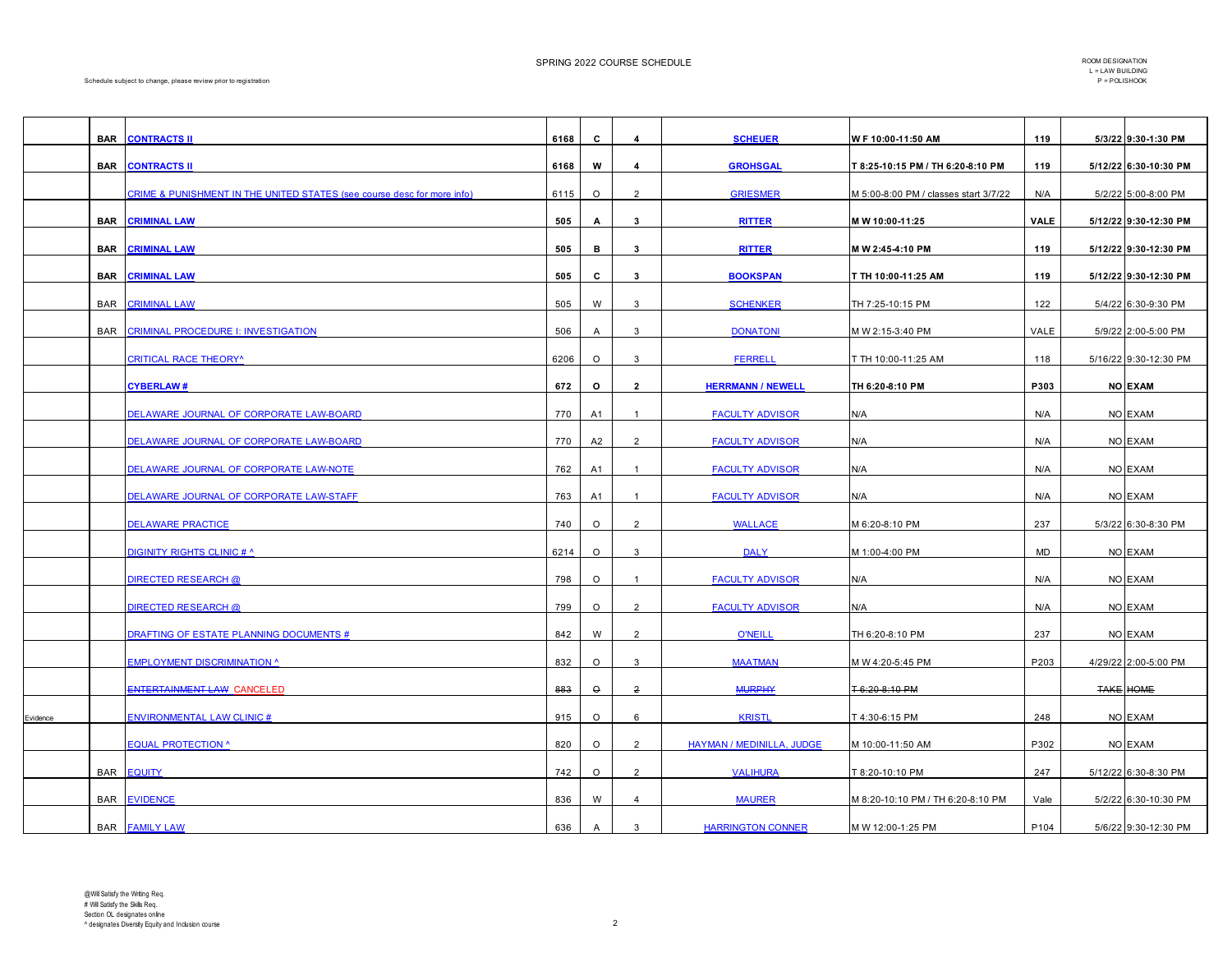SPRING 2022 COURSE SCHEDULE **SEE ALL ASSESSMENT COMPONE SCHEDULE** ROOM DESIGNATION

|          | <b>BAR</b> | <b>CONTRACTS II</b>                                                     | 6168 | C              | 4              | <b>SCHEUER</b>            | W F 10:00-11:50 AM                    | 119  | 5/3/22 9:30-1:30 PM   |
|----------|------------|-------------------------------------------------------------------------|------|----------------|----------------|---------------------------|---------------------------------------|------|-----------------------|
|          | <b>BAR</b> | <b>CONTRACTS II</b>                                                     | 6168 | W              | 4              | <b>GROHSGAL</b>           | T 8:25-10:15 PM / TH 6:20-8:10 PM     | 119  | 5/12/22 6:30-10:30 PM |
|          |            | CRIME & PUNISHMENT IN THE UNITED STATES (see course desc for more info) | 6115 | $\circ$        | $\overline{2}$ | <b>GRIESMER</b>           | M 5:00-8:00 PM / classes start 3/7/22 | N/A  | 5/2/22 5:00-8:00 PM   |
|          | <b>BAR</b> | <b>CRIMINAL LAW</b>                                                     | 505  | $\mathbf{A}$   | $\mathbf{3}$   | <b>RITTER</b>             | M W 10:00-11:25                       | VALE | 5/12/22 9:30-12:30 PM |
|          | <b>BAR</b> | <b>CRIMINAL LAW</b>                                                     | 505  | в              | $\mathbf{3}$   | <b>RITTER</b>             | M W 2:45-4:10 PM                      | 119  | 5/12/22 9:30-12:30 PM |
|          | <b>BAR</b> | <b>CRIMINAL LAW</b>                                                     | 505  | c              | $\mathbf{3}$   | <b>BOOKSPAN</b>           | T TH 10:00-11:25 AM                   | 119  | 5/12/22 9:30-12:30 PM |
|          | <b>BAR</b> | <b>CRIMINAL LAW</b>                                                     | 505  | W              | $\mathbf{3}$   | <b>SCHENKER</b>           | TH 7:25-10:15 PM                      | 122  | 5/4/22 6:30-9:30 PM   |
|          | <b>BAR</b> | <b>CRIMINAL PROCEDURE I: INVESTIGATION</b>                              | 506  | $\mathsf{A}$   | $\mathbf{3}$   | <b>DONATONI</b>           | M W 2:15-3:40 PM                      | VALE | 5/9/22 2:00-5:00 PM   |
|          |            |                                                                         |      |                |                |                           |                                       |      |                       |
|          |            | <b>CRITICAL RACE THEORY^</b>                                            | 6206 | $\circ$        | $\mathbf{3}$   | <b>FERRELL</b>            | T TH 10:00-11:25 AM                   | 118  | 5/16/22 9:30-12:30 PM |
|          |            | <b>CYBERLAW#</b>                                                        | 672  | O              | $\overline{2}$ | <b>HERRMANN / NEWELL</b>  | TH 6:20-8:10 PM                       | P303 | <b>NO EXAM</b>        |
|          |            | DELAWARE JOURNAL OF CORPORATE LAW-BOARD                                 | 770  | A1             | -1             | <b>FACULTY ADVISOR</b>    | N/A                                   | N/A  | NO EXAM               |
|          |            | DELAWARE JOURNAL OF CORPORATE LAW-BOARD                                 | 770  | A2             | 2              | <b>FACULTY ADVISOR</b>    | N/A                                   | N/A  | NO EXAM               |
|          |            | DELAWARE JOURNAL OF CORPORATE LAW-NOTE                                  | 762  | A1             | $\overline{1}$ | <b>FACULTY ADVISOR</b>    | N/A                                   | N/A  | NO EXAM               |
|          |            | DELAWARE JOURNAL OF CORPORATE LAW-STAFF                                 | 763  | A1             | $\overline{1}$ | <b>FACULTY ADVISOR</b>    | N/A                                   | N/A  | NO EXAM               |
|          |            | <b>DELAWARE PRACTICE</b>                                                | 740  | $\circ$        | $\overline{2}$ | <b>WALLACE</b>            | M 6:20-8:10 PM                        | 237  | 5/3/22 6:30-8:30 PM   |
|          |            | <b>DIGINITY RIGHTS CLINIC # ^</b>                                       | 6214 | $\circ$        | 3              | <b>DALY</b>               | M 1:00-4:00 PM                        | MD   | NO EXAM               |
|          |            | <b>DIRECTED RESEARCH @</b>                                              | 798  | $\circ$        | $\mathbf{1}$   | <b>FACULTY ADVISOR</b>    | N/A                                   | N/A  | NO EXAM               |
|          |            | <b>DIRECTED RESEARCH @</b>                                              | 799  | $\circ$        | $\overline{2}$ | <b>FACULTY ADVISOR</b>    | N/A                                   | N/A  | NO EXAM               |
|          |            | DRAFTING OF ESTATE PLANNING DOCUMENTS #                                 | 842  | W              | 2              | <b>O'NEILL</b>            | TH 6:20-8:10 PM                       | 237  | NO EXAM               |
|          |            | <b>EMPLOYMENT DISCRIMINATION ^</b>                                      | 832  | $\circ$        | 3              | <b>MAATMAN</b>            | M W 4:20-5:45 PM                      | P203 | 4/29/22 2:00-5:00 PM  |
|          |            | ENTERTAINMENT LAW CANCELED                                              | 883  | $\circ$        | $\overline{2}$ | <b>MURPHY</b>             | T 6:20 8:10 PM                        |      | <b>TAKE HOME</b>      |
| Evidence |            | <b>ENVIRONMENTAL LAW CLINIC#</b>                                        | 915  | $\circ$        | 6              | <b>KRISTL</b>             | T 4:30-6:15 PM                        | 248  | NO EXAM               |
|          |            | <b>EQUAL PROTECTION ^</b>                                               | 820  | $\circ$        | 2              | HAYMAN / MEDINILLA, JUDGE |                                       | P302 | NO EXAM               |
|          |            |                                                                         |      |                |                |                           | M 10:00-11:50 AM                      |      |                       |
|          | <b>BAR</b> | <b>EQUITY</b>                                                           | 742  | $\circ$        | $\overline{2}$ | <b>VALIHURA</b>           | T 8:20-10:10 PM                       | 247  | 5/12/22 6:30-8:30 PM  |
|          | <b>BAR</b> | <b>EVIDENCE</b>                                                         | 836  | W              | $\overline{4}$ | <b>MAURER</b>             | M 8:20-10:10 PM / TH 6:20-8:10 PM     | Vale | 5/2/22 6:30-10:30 PM  |
|          |            | <b>BAR FAMILY LAW</b>                                                   | 636  | $\overline{A}$ | 3              | <b>HARRINGTON CONNER</b>  | M W 12:00-1:25 PM                     | P104 | 5/6/22 9:30-12:30 PM  |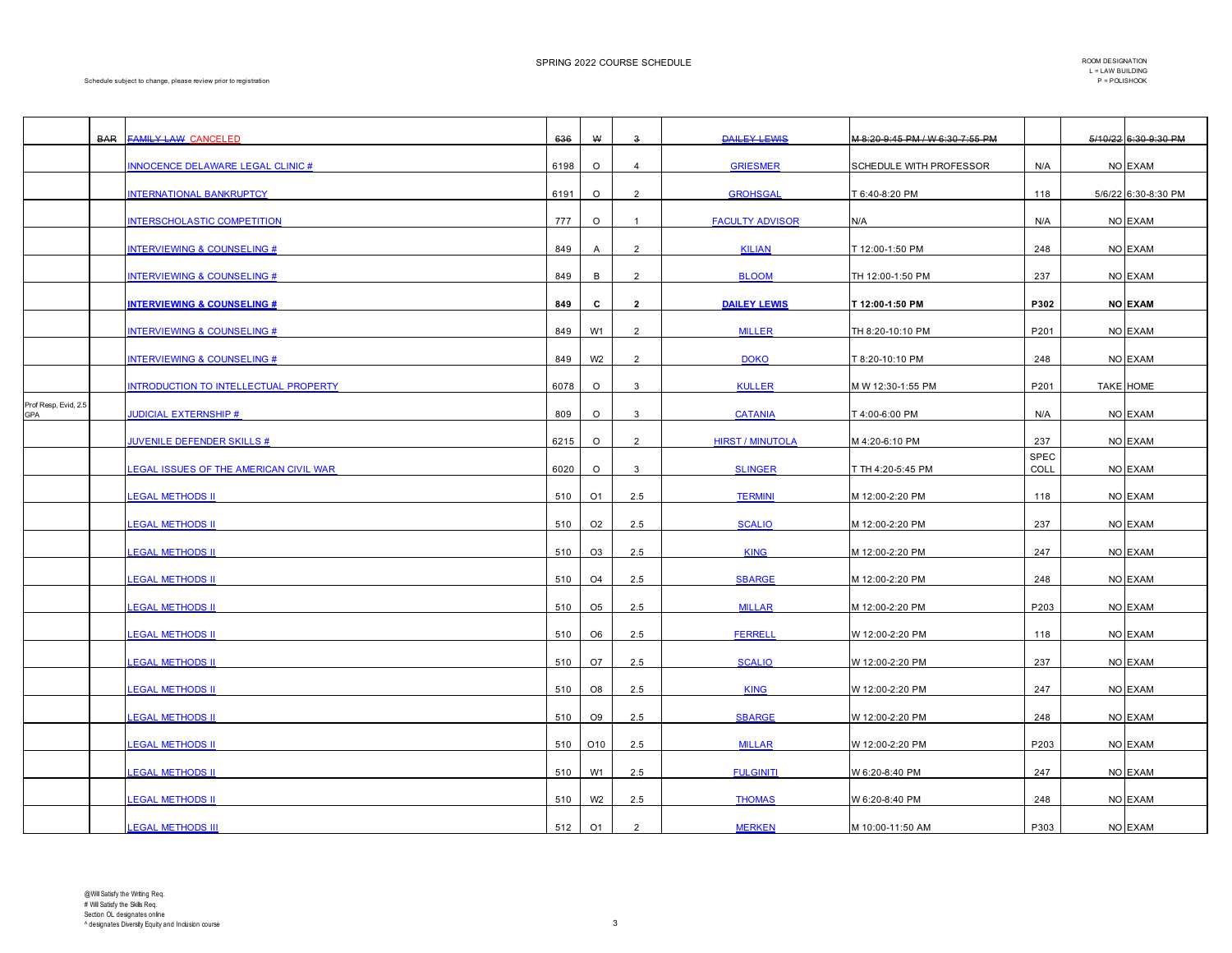SPRING 2022 COURSE SCHEDULE **SEE ALL ASSESSMENT COMPONE SCHEDULE** ROOM DESIGNATION

|                             | <b>BAR</b> | FAMILY LAW CANCELED                          | 636  | $\pmb{\mathsf{W}}$ | $\mathbf{3}$   | <b>DAILEY LEWIS</b>     | M 8:20 9:45 PM / W 6:30 7:55 PM |                     | 5/10/22 6:30 0:30 PM |
|-----------------------------|------------|----------------------------------------------|------|--------------------|----------------|-------------------------|---------------------------------|---------------------|----------------------|
|                             |            | <b>INNOCENCE DELAWARE LEGAL CLINIC #</b>     | 6198 | $\circ$            | $\overline{4}$ | <b>GRIESMER</b>         | SCHEDULE WITH PROFESSOR         | N/A                 | NO EXAM              |
|                             |            | <b>INTERNATIONAL BANKRUPTCY</b>              | 6191 | $\circ$            | $\overline{2}$ | <b>GROHSGAL</b>         | T 6:40-8:20 PM                  | 118                 | 5/6/22 6:30-8:30 PM  |
|                             |            | NTERSCHOLASTIC COMPETITION                   | 777  | $\circ$            | $\overline{1}$ | <b>FACULTY ADVISOR</b>  | N/A                             | N/A                 | NO EXAM              |
|                             |            | <b>INTERVIEWING &amp; COUNSELING #</b>       | 849  | A                  | $\overline{2}$ | <b>KILIAN</b>           | T 12:00-1:50 PM                 | 248                 | NO EXAM              |
|                             |            | <b>INTERVIEWING &amp; COUNSELING #</b>       | 849  | В                  | $\overline{2}$ | <b>BLOOM</b>            | TH 12:00-1:50 PM                | 237                 | NO EXAM              |
|                             |            | <b>INTERVIEWING &amp; COUNSELING #</b>       | 849  | c                  | $\overline{2}$ | <b>DAILEY LEWIS</b>     | T 12:00-1:50 PM                 | P302                | <b>NO EXAM</b>       |
|                             |            | <b>NTERVIEWING &amp; COUNSELING #</b>        | 849  | W1                 | $\overline{2}$ | <b>MILLER</b>           | TH 8:20-10:10 PM                | P201                | NO EXAM              |
|                             |            | <b>INTERVIEWING &amp; COUNSELING #</b>       | 849  | W <sub>2</sub>     | $\overline{2}$ | <b>DOKO</b>             | T 8:20-10:10 PM                 | 248                 | NO EXAM              |
|                             |            | NTRODUCTION TO INTELLECTUAL PROPERTY         | 6078 | $\circ$            | 3              | <b>KULLER</b>           | M W 12:30-1:55 PM               | P201                | <b>TAKE HOME</b>     |
| Prof Resp, Evid, 2.5<br>GPA |            | <b>JUDICIAL EXTERNSHIP #</b>                 | 809  | $\circ$            | 3              | <b>CATANIA</b>          | T 4:00-6:00 PM                  | N/A                 | NO EXAM              |
|                             |            | <b>JUVENILE DEFENDER SKILLS #</b>            | 6215 | $\circ$            | $\overline{2}$ | <b>HIRST / MINUTOLA</b> | M 4:20-6:10 PM                  | 237                 | NO EXAM              |
|                             |            | <b>EGAL ISSUES OF THE AMERICAN CIVIL WAR</b> | 6020 | $\circ$            | 3              | <b>SLINGER</b>          | T TH 4:20-5:45 PM               | <b>SPEC</b><br>COLL | NO EXAM              |
|                             |            | <b>EGAL METHODS II</b>                       | 510  | O1                 | 2.5            | <b>TERMINI</b>          | M 12:00-2:20 PM                 | 118                 | NO EXAM              |
|                             |            | <b>LEGAL METHODS II</b>                      | 510  | O <sub>2</sub>     | 2.5            | <b>SCALIO</b>           | M 12:00-2:20 PM                 | 237                 | NO EXAM              |
|                             |            | <b>EGAL METHODS II</b>                       | 510  | O <sub>3</sub>     | 2.5            | <b>KING</b>             | M 12:00-2:20 PM                 | 247                 | NO EXAM              |
|                             |            | <b>EGAL METHODS II</b>                       | 510  | O <sub>4</sub>     | 2.5            | <b>SBARGE</b>           | M 12:00-2:20 PM                 | 248                 | NO EXAM              |
|                             |            | <b>EGAL METHODS II</b>                       | 510  | O <sub>5</sub>     | 2.5            | <b>MILLAR</b>           | M 12:00-2:20 PM                 | P203                | NO EXAM              |
|                             |            | <b>EGAL METHODS II</b>                       | 510  | O <sub>6</sub>     | 2.5            | <b>FERRELL</b>          | W 12:00-2:20 PM                 | 118                 | NO EXAM              |
|                             |            | <b>EGAL METHODS II</b>                       | 510  | O7                 | 2.5            | <b>SCALIO</b>           | W 12:00-2:20 PM                 | 237                 | NO EXAM              |
|                             |            | <u>EGAL METHODS II</u>                       | 510  | O8                 | 2.5            | <b>KING</b>             | W 12:00-2:20 PM                 | 247                 | NO EXAM              |
|                             |            | <b>LEGAL METHODS II</b>                      | 510  | O <sub>9</sub>     | 2.5            | <b>SBARGE</b>           | W 12:00-2:20 PM                 | 248                 | NO EXAM              |
|                             |            | <b>EGAL METHODS II</b>                       | 510  | O <sub>10</sub>    | 2.5            | <b>MILLAR</b>           | W 12:00-2:20 PM                 | P203                | NO EXAM              |
|                             |            | <b>EGAL METHODS II</b>                       | 510  | W1                 | 2.5            | <b>FULGINITI</b>        | W 6:20-8:40 PM                  | 247                 | NO EXAM              |
|                             |            | <b>EGAL METHODS II</b>                       | 510  | W <sub>2</sub>     | 2.5            | <b>THOMAS</b>           | W 6:20-8:40 PM                  | 248                 | NO EXAM              |
|                             |            | <b>LEGAL METHODS III</b>                     | 512  | O <sub>1</sub>     | $\overline{2}$ | <b>MERKEN</b>           | M 10:00-11:50 AM                | P303                | NO EXAM              |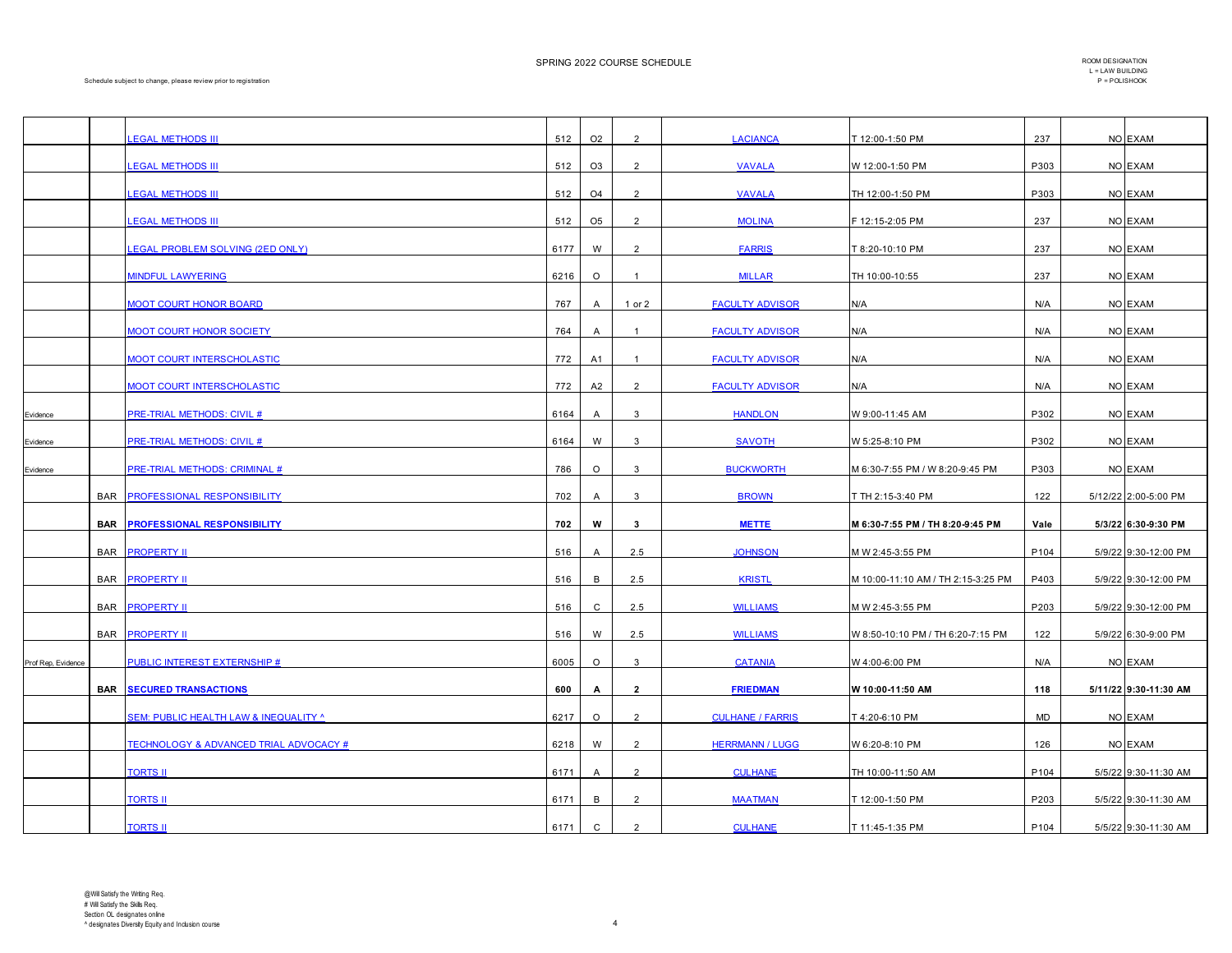SPRING 2022 COURSE SCHEDULE **SEE ALL ASSESSMENT COMPONE SCHEDULE** ROOM DESIGNATION

|                    |            | <b>EGAL METHODS III</b>                           | 512  | O <sub>2</sub> | 2              | <b>LACIANCA</b>         | T 12:00-1:50 PM                    | 237              | NO EXAM               |
|--------------------|------------|---------------------------------------------------|------|----------------|----------------|-------------------------|------------------------------------|------------------|-----------------------|
|                    |            | <b>LEGAL METHODS III</b>                          | 512  | O <sub>3</sub> | $\overline{2}$ | <b>VAVALA</b>           | W 12:00-1:50 PM                    | P303             | NO EXAM               |
|                    |            | <b>EGAL METHODS III</b>                           | 512  | O <sub>4</sub> | $\overline{2}$ | <b>VAVALA</b>           | TH 12:00-1:50 PM                   | P303             | NO EXAM               |
|                    |            | <b>LEGAL METHODS III</b>                          | 512  | O <sub>5</sub> | $\overline{2}$ | <b>MOLINA</b>           | F 12:15-2:05 PM                    | 237              | NO EXAM               |
|                    |            |                                                   |      |                |                |                         |                                    |                  |                       |
|                    |            | <b>LEGAL PROBLEM SOLVING (2ED ONLY)</b>           | 6177 | W              | $\overline{2}$ | <b>FARRIS</b>           | T 8:20-10:10 PM                    | 237              | NO EXAM               |
|                    |            | <b>MINDFUL LAWYERING</b>                          | 6216 | $\circ$        | $\overline{1}$ | <b>MILLAR</b>           | TH 10:00-10:55                     | 237              | NO EXAM               |
|                    |            | <b>MOOT COURT HONOR BOARD</b>                     | 767  | $\overline{A}$ | $1$ or $2$     | <b>FACULTY ADVISOR</b>  | N/A                                | N/A              | NO EXAM               |
|                    |            | <b>MOOT COURT HONOR SOCIETY</b>                   | 764  | A              | $\overline{1}$ | <b>FACULTY ADVISOR</b>  | N/A                                | N/A              | NO EXAM               |
|                    |            | <b>MOOT COURT INTERSCHOLASTIC</b>                 | 772  | A1             | $\overline{1}$ | <b>FACULTY ADVISOR</b>  | N/A                                | N/A              | NO EXAM               |
|                    |            | <b>MOOT COURT INTERSCHOLASTIC</b>                 | 772  | A2             | 2              | <b>FACULTY ADVISOR</b>  | N/A                                | N/A              | NO EXAM               |
| Evidence           |            | <b>PRE-TRIAL METHODS: CIVIL #</b>                 | 6164 | A              | 3              | <b>HANDLON</b>          | W 9:00-11:45 AM                    | P302             | NO EXAM               |
| Evidence           |            | <b>PRE-TRIAL METHODS: CIVIL #</b>                 | 6164 | W              | 3              | <b>SAVOTH</b>           | W 5:25-8:10 PM                     | P302             | NO EXAM               |
| Evidence           |            | PRE-TRIAL METHODS: CRIMINAL #                     | 786  | $\circ$        | $\mathbf{3}$   | <b>BUCKWORTH</b>        | M 6:30-7:55 PM / W 8:20-9:45 PM    | P303             | NO EXAM               |
|                    |            | BAR PROFESSIONAL RESPONSIBILITY                   | 702  | $\mathsf{A}$   | 3              | <b>BROWN</b>            | T TH 2:15-3:40 PM                  | 122              | 5/12/22 2:00-5:00 PM  |
|                    | <b>BAR</b> | <b>PROFESSIONAL RESPONSIBILITY</b>                | 702  | w              | $\mathbf{3}$   | <b>METTE</b>            | M 6:30-7:55 PM / TH 8:20-9:45 PM   | Vale             | 5/3/22 6:30-9:30 PM   |
|                    |            |                                                   |      |                |                |                         |                                    |                  |                       |
|                    |            | <b>BAR PROPERTY II</b>                            | 516  | $\overline{A}$ | 2.5            | <b>JOHNSON</b>          | M W 2:45-3:55 PM                   | P104             | 5/9/22 9:30-12:00 PM  |
|                    | <b>BAR</b> | <b>PROPERTY II</b>                                | 516  | В              | 2.5            | <b>KRISTL</b>           | M 10:00-11:10 AM / TH 2:15-3:25 PM | P403             | 5/9/22 9:30-12:00 PM  |
|                    |            | <b>BAR PROPERTY II</b>                            | 516  | $\mathsf{C}$   | 2.5            | <b>WILLIAMS</b>         | M W 2:45-3:55 PM                   | P203             | 5/9/22 9:30-12:00 PM  |
|                    |            | <b>BAR PROPERTY II</b>                            | 516  | W              | 2.5            | <b>WILLIAMS</b>         | W 8:50-10:10 PM / TH 6:20-7:15 PM  | 122              | 5/9/22 6:30-9:00 PM   |
| Prof Rep, Evidence |            | PUBLIC INTEREST EXTERNSHIP #                      | 6005 | $\circ$        | 3              | <b>CATANIA</b>          | W 4:00-6:00 PM                     | N/A              | NO EXAM               |
|                    | <b>BAR</b> | <b>SECURED TRANSACTIONS</b>                       | 600  | A              | $\overline{2}$ | <b>FRIEDMAN</b>         | W 10:00-11:50 AM                   | 118              | 5/11/22 9:30-11:30 AM |
|                    |            | <b>SEM: PUBLIC HEALTH LAW &amp; INEQUALITY ^</b>  | 6217 | $\circ$        | $\overline{2}$ | <b>CULHANE / FARRIS</b> | T 4:20-6:10 PM                     | MD               | NO EXAM               |
|                    |            | <b>TECHNOLOGY &amp; ADVANCED TRIAL ADVOCACY #</b> | 6218 | W              | 2              | <b>HERRMANN / LUGG</b>  | W 6:20-8:10 PM                     | 126              | NO EXAM               |
|                    |            | <b>TORTS II</b>                                   | 6171 | $\overline{A}$ | $\overline{2}$ | <b>CULHANE</b>          | TH 10:00-11:50 AM                  | P104             | 5/5/22 9:30-11:30 AM  |
|                    |            | <b>TORTS II</b>                                   | 6171 | B              | 2              | <b>MAATMAN</b>          | T 12:00-1:50 PM                    | P203             | 5/5/22 9:30-11:30 AM  |
|                    |            | <b>TORTS II</b>                                   | 6171 | $\mathbf C$    | 2              | <b>CULHANE</b>          | T 11:45-1:35 PM                    | P <sub>104</sub> | 5/5/22 9:30-11:30 AM  |